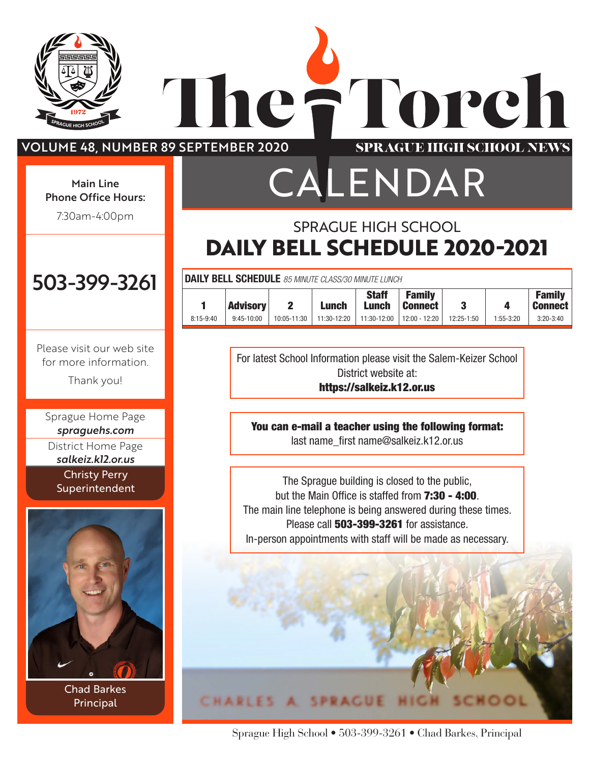

### VOLUME 48, NUMBER 89 SEPTEMBER 2020

 $\sqrt{2}$ 

he:

#### $5.999555115$ Phone Office Hours: Main Line

7:30am-4:00pm College & Career Center:

## CALENDAR SPRAGUE HIGH SCHOOL

Torch

**SPRAGUE HIGH SCHOOL NEWS** 

## **DAILY BELL SCHEDULE 2020-2021**

| <b>DAILY BELL SCHEDULE</b> 85 MINUTE CLASS/30 MINUTE LUNCH |                 |             |              |                              |                                 |                |               |                                 |
|------------------------------------------------------------|-----------------|-------------|--------------|------------------------------|---------------------------------|----------------|---------------|---------------------------------|
|                                                            | <b>Advisory</b> | 2           | <b>Lunch</b> | <b>Staff</b><br><b>Lunch</b> | <b>Family</b><br><b>Connect</b> | 3              | Д             | <b>Family</b><br><b>Connect</b> |
| $8:15-9:40$                                                | $9:45-10:00$    | 10:05-11:30 | 11:30-12:20  | 11:30-12:00                  | 12:00 - 12:20                   | $12:25 - 1:50$ | $1:55 - 3:20$ | $3:20 - 3:40$                   |

For latest School Information please visit the Salem-Keizer School District website at: https://salkeiz.k12.or.us

You can e-mail a teacher using the following format: last name\_first name@salkeiz.k12.or.us

The Sprague building is closed to the public, but the Main Office is staffed from **7:30 - 4:00**. The main line telephone is being answered during these times. Please call **503-399-3261** for assistance. In-person appointments with staff will be made as necessary.



Sprague High School • 503-399-3261 • Chad Barkes, Principal

י החבינ Athletic Office: 503-399-3261

Please visit our web site for more information.

7:00am-4:00pm

Thank you!

Sprague Home Page *[spraguehs.com](https://spraguehs.com)* District Home Page *[salkeiz.k12.or.us](https://salkeiz.k12.or.us)* Christy Perry Superintendent



Chad Barkes Principal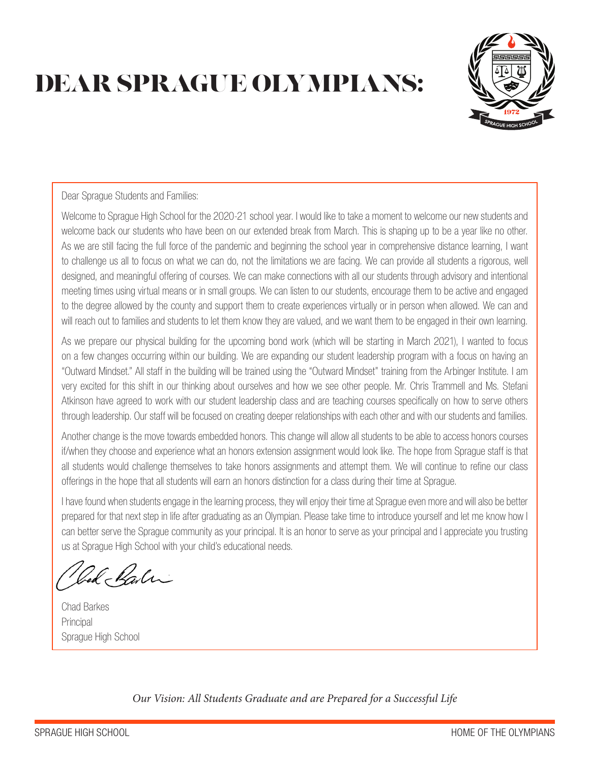## DEAR SPRAGUE OLYMPIANS:



Dear Sprague Students and Families:

Welcome to Sprague High School for the 2020-21 school year. I would like to take a moment to welcome our new students and welcome back our students who have been on our extended break from March. This is shaping up to be a year like no other. As we are still facing the full force of the pandemic and beginning the school year in comprehensive distance learning, I want to challenge us all to focus on what we can do, not the limitations we are facing. We can provide all students a rigorous, well designed, and meaningful offering of courses. We can make connections with all our students through advisory and intentional meeting times using virtual means or in small groups. We can listen to our students, encourage them to be active and engaged to the degree allowed by the county and support them to create experiences virtually or in person when allowed. We can and will reach out to families and students to let them know they are valued, and we want them to be engaged in their own learning.

As we prepare our physical building for the upcoming bond work (which will be starting in March 2021), I wanted to focus on a few changes occurring within our building. We are expanding our student leadership program with a focus on having an "Outward Mindset." All staff in the building will be trained using the "Outward Mindset" training from the Arbinger Institute. I am very excited for this shift in our thinking about ourselves and how we see other people. Mr. Chris Trammell and Ms. Stefani Atkinson have agreed to work with our student leadership class and are teaching courses specifically on how to serve others through leadership. Our staff will be focused on creating deeper relationships with each other and with our students and families.

Another change is the move towards embedded honors. This change will allow all students to be able to access honors courses if/when they choose and experience what an honors extension assignment would look like. The hope from Sprague staff is that all students would challenge themselves to take honors assignments and attempt them. We will continue to refine our class offerings in the hope that all students will earn an honors distinction for a class during their time at Sprague.

I have found when students engage in the learning process, they will enjoy their time at Sprague even more and will also be better prepared for that next step in life after graduating as an Olympian. Please take time to introduce yourself and let me know how I can better serve the Sprague community as your principal. It is an honor to serve as your principal and I appreciate you trusting us at Sprague High School with your child's educational needs.

Cod Rali

Chad Barkes **Principal** Sprague High School

*Our Vision: All Students Graduate and are Prepared for a Successful Life*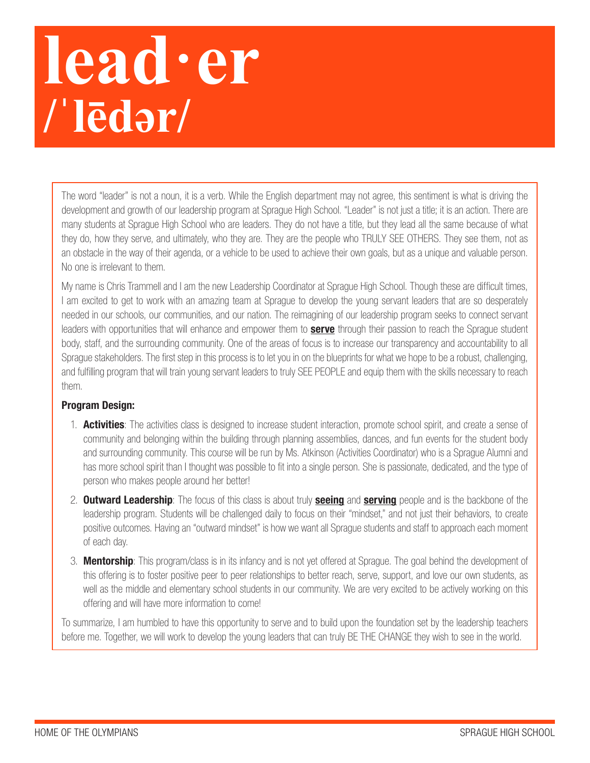## **lead·er /ˈlēdər/**

The word "leader" is not a noun, it is a verb. While the English department may not agree, this sentiment is what is driving the development and growth of our leadership program at Sprague High School. "Leader" is not just a title; it is an action. There are many students at Sprague High School who are leaders. They do not have a title, but they lead all the same because of what they do, how they serve, and ultimately, who they are. They are the people who TRULY SEE OTHERS. They see them, not as an obstacle in the way of their agenda, or a vehicle to be used to achieve their own goals, but as a unique and valuable person. No one is irrelevant to them.

My name is Chris Trammell and I am the new Leadership Coordinator at Sprague High School. Though these are difficult times, I am excited to get to work with an amazing team at Sprague to develop the young servant leaders that are so desperately needed in our schools, our communities, and our nation. The reimagining of our leadership program seeks to connect servant leaders with opportunities that will enhance and empower them to **serve** through their passion to reach the Sprague student body, staff, and the surrounding community. One of the areas of focus is to increase our transparency and accountability to all Sprague stakeholders. The first step in this process is to let you in on the blueprints for what we hope to be a robust, challenging, and fulfilling program that will train young servant leaders to truly SEE PEOPLE and equip them with the skills necessary to reach them.

### Program Design:

- 1. **Activities**: The activities class is designed to increase student interaction, promote school spirit, and create a sense of community and belonging within the building through planning assemblies, dances, and fun events for the student body and surrounding community. This course will be run by Ms. Atkinson (Activities Coordinator) who is a Sprague Alumni and has more school spirit than I thought was possible to fit into a single person. She is passionate, dedicated, and the type of person who makes people around her better!
- 2. **Outward Leadership**: The focus of this class is about truly **seeing** and **serving** people and is the backbone of the leadership program. Students will be challenged daily to focus on their "mindset," and not just their behaviors, to create positive outcomes. Having an "outward mindset" is how we want all Sprague students and staff to approach each moment of each day.
- 3. **Mentorship**: This program/class is in its infancy and is not yet offered at Sprague. The goal behind the development of this offering is to foster positive peer to peer relationships to better reach, serve, support, and love our own students, as well as the middle and elementary school students in our community. We are very excited to be actively working on this offering and will have more information to come!

To summarize, I am humbled to have this opportunity to serve and to build upon the foundation set by the leadership teachers before me. Together, we will work to develop the young leaders that can truly BE THE CHANGE they wish to see in the world.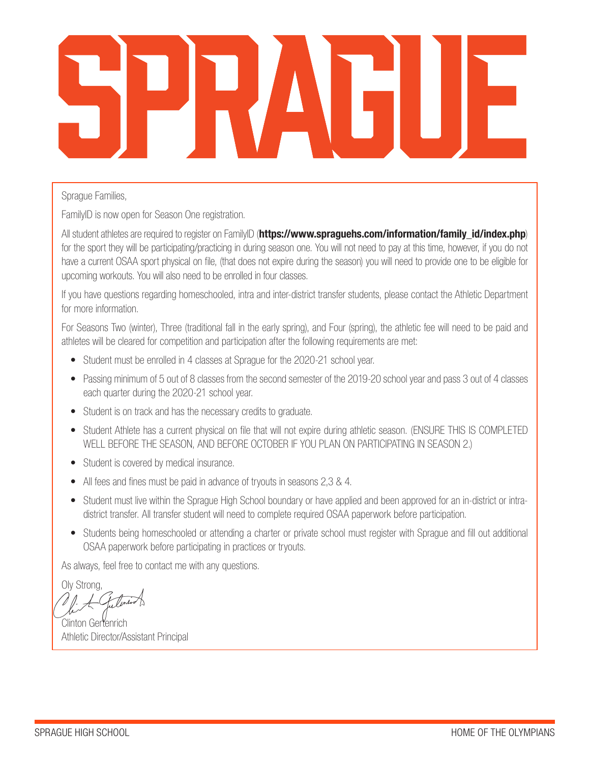### Sprague Families,

FamilyID is now open for Season One registration.

All student athletes are required to register on FamilyID (https://www.spraguehs.com/information/family\_id/index.php) for the sport they will be participating/practicing in during season one. You will not need to pay at this time, however, if you do not have a current OSAA sport physical on file, (that does not expire during the season) you will need to provide one to be eligible for upcoming workouts. You will also need to be enrolled in four classes.

If you have questions regarding homeschooled, intra and inter-district transfer students, please contact the Athletic Department for more information.

For Seasons Two (winter), Three (traditional fall in the early spring), and Four (spring), the athletic fee will need to be paid and athletes will be cleared for competition and participation after the following requirements are met:

- Student must be enrolled in 4 classes at Sprague for the 2020-21 school year.
- Passing minimum of 5 out of 8 classes from the second semester of the 2019-20 school year and pass 3 out of 4 classes each quarter during the 2020-21 school year.
- Student is on track and has the necessary credits to graduate.
- Student Athlete has a current physical on file that will not expire during athletic season. (ENSURE THIS IS COMPLETED WELL BEFORE THE SEASON, AND BEFORE OCTOBER IF YOU PLAN ON PARTICIPATING IN SEASON 2.)
- Student is covered by medical insurance.
- All fees and fines must be paid in advance of tryouts in seasons 2,3 & 4.
- Student must live within the Sprague High School boundary or have applied and been approved for an in-district or intradistrict transfer. All transfer student will need to complete required OSAA paperwork before participation.
- Students being homeschooled or attending a charter or private school must register with Sprague and fill out additional OSAA paperwork before participating in practices or tryouts.

As always, feel free to contact me with any questions.

Oly Strong,

Clinton Gertenrich Athletic Director/Assistant Principal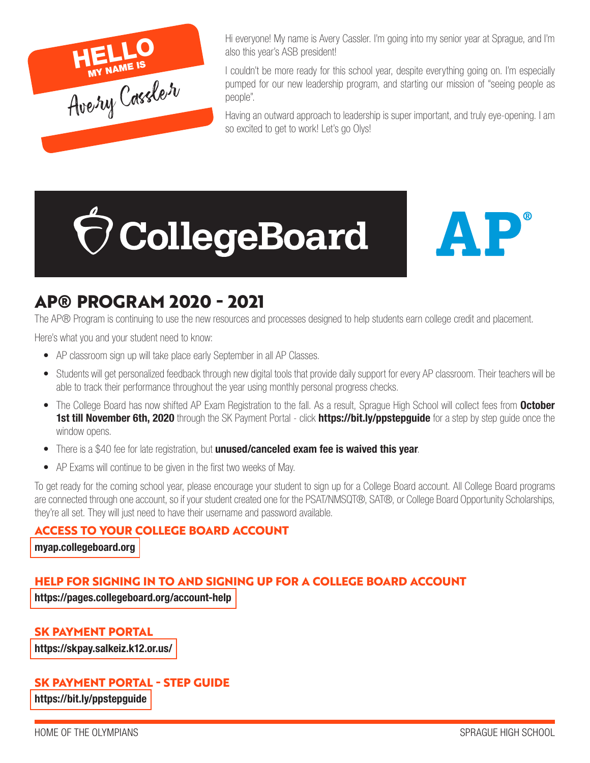

Hi everyone! My name is Avery Cassler. I'm going into my senior year at Sprague, and I'm also this year's ASB president!

I couldn't be more ready for this school year, despite everything going on. I'm especially pumped for our new leadership program, and starting our mission of "seeing people as people".

Having an outward approach to leadership is super important, and truly eye-opening. I am so excited to get to work! Let's go Olys!





### **AP® PROGRAM 2020 - 2021**

The AP® Program is continuing to use the new resources and processes designed to help students earn college credit and placement.

Here's what you and your student need to know:

- AP classroom sign up will take place early September in all AP Classes.
- Students will get personalized feedback through new digital tools that provide daily support for every AP classroom. Their teachers will be able to track their performance throughout the year using monthly personal progress checks.
- The College Board has now shifted AP Exam Registration to the fall. As a result, Sprague High School will collect fees from **October** 1st till November 6th, 2020 through the SK Payment Portal - click https://bit.ly/ppstepguide for a step by step guide once the window opens.
- There is a \$40 fee for late registration, but **unused/canceled exam fee is waived this year**.
- AP Exams will continue to be given in the first two weeks of May.

To get ready for the coming school year, please encourage your student to sign up for a College Board account. All College Board programs are connected through one account, so if your student created one for the PSAT/NMSQT®, SAT®, or College Board Opportunity Scholarships, they're all set. They will just need to have their username and password available.

### **ACCESS TO YOUR COLLEGE BOARD ACCOUNT**

[myap.collegeboard.org](https://myap.collegeboard.org)

### **HELP FOR SIGNING IN TO AND SIGNING UP FOR A COLLEGE BOARD ACCOUNT**

https://pages.collegeboard.org/account-help

**SK PAYMENT PORTAL**

https://skpay.salkeiz.k12.or.us/

### **SK PAYMENT PORTAL - STEP GUIDE**

https://bit.ly/ppstepguide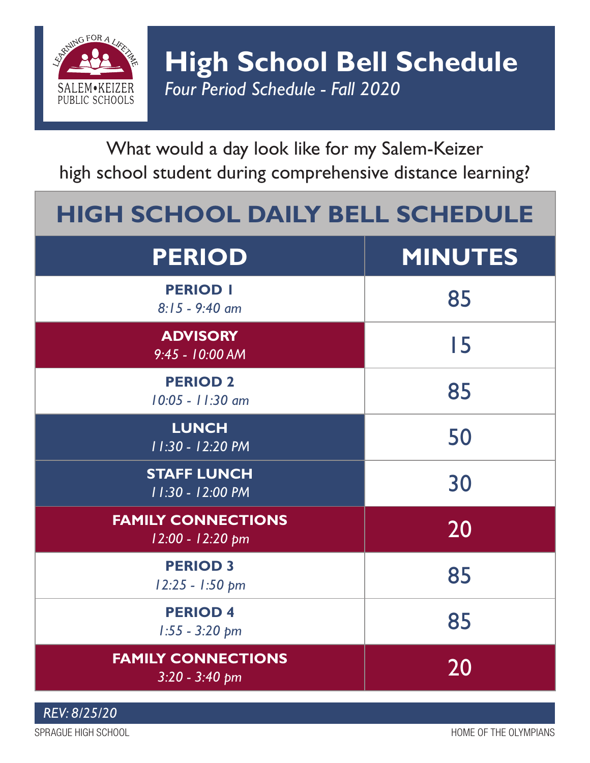

What would a day look like for my Salem-Keizer high school student during comprehensive distance learning?

## **HIGH SCHOOL DAILY BELL SCHEDULE**

| <b>PERIOD</b>                                 | <b>MINUTES</b> |
|-----------------------------------------------|----------------|
| <b>PERIOD I</b><br>$8:15 - 9:40$ am           | 85             |
| <b>ADVISORY</b><br>9:45 - 10:00 AM            | 15             |
| <b>PERIOD 2</b><br>10:05 - 11:30 am           | 85             |
| <b>LUNCH</b><br>11:30 - 12:20 PM              | 50             |
| <b>STAFF LUNCH</b><br>11:30 - 12:00 PM        | 30             |
| <b>FAMILY CONNECTIONS</b><br>12:00 - 12:20 pm | 20             |
| <b>PERIOD 3</b><br>12:25 - 1:50 pm            | 85             |
| <b>PERIOD 4</b><br>$1:55 - 3:20$ pm           | 85             |
| <b>FAMILY CONNECTIONS</b><br>$3:20 - 3:40$ pm | 20             |

*REV: 8/25/20*

SPRAGUE HIGH SCHOOL SOLUTION AND SERVED OF THE OLYMPIANS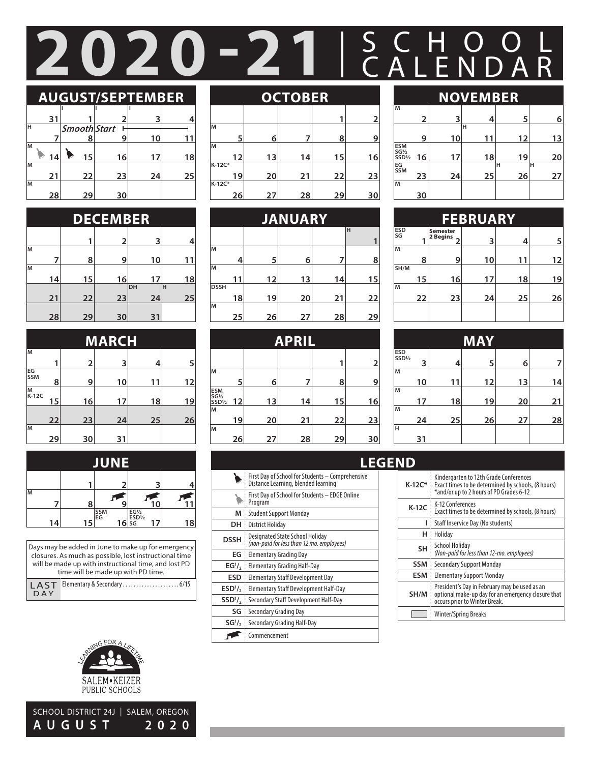# SCHOOL **2020-21** CALENDAR

### **AUGUST/SEPTEMBER**

|    | 31 |                     | 2  |    |    |
|----|----|---------------------|----|----|----|
| н  |    | <b>Smooth Start</b> |    |    |    |
|    |    | 8                   | 9  | 10 | 11 |
| M  |    |                     |    |    |    |
|    | 14 | 15                  | 16 | 17 | 18 |
| M  |    |                     |    |    |    |
|    | 21 | 22                  | 23 | 24 | 25 |
| lм |    |                     |    |    |    |
|    | 28 | 29                  | 30 |    |    |

|    | <b>DECEMBER</b> |    |    |     |    |  |  |
|----|-----------------|----|----|-----|----|--|--|
|    |                 | 1  | 2  | 3   | 4  |  |  |
| lм |                 |    |    |     |    |  |  |
| lм |                 | 8  | 9  | 10  | 11 |  |  |
|    | 14              | 15 | 16 | 17  | 18 |  |  |
|    |                 |    |    | IDН | lн |  |  |
|    | 21              | 22 | 23 | 24  | 25 |  |  |
|    | 28              | 29 | 30 | 31  |    |  |  |

|              | <b>MARCH</b> |                |    |    |    |  |  |
|--------------|--------------|----------------|----|----|----|--|--|
| M            |              |                |    |    |    |  |  |
|              | 1            | $\overline{2}$ | 3  | 4  | 5  |  |  |
| EG<br>SSM    | 8            | 9              | 10 | 11 | 12 |  |  |
| $M$<br>K-12C | 15           | 16             | 17 | 18 | 19 |  |  |
|              | 22           | 23             | 24 | 25 | 26 |  |  |
| M            | 29           | 30             | 31 |    |    |  |  |

|    | E  |    |           |                                                |    |  |
|----|----|----|-----------|------------------------------------------------|----|--|
|    |    |    |           |                                                |    |  |
| lм |    | 8  |           | 10                                             |    |  |
|    | 14 | 15 | SSM<br>EG | $\frac{\sqrt{\frac{EGV_2}{ESDV_2}}}{16}$<br>Τ. | 18 |  |

| Days may be added in June to make up for emergency<br>closures. As much as possible, lost instructional time<br>will be made up with instructional time, and lost PD<br>time will be made up with PD time. |  |  |  |  |  |
|------------------------------------------------------------------------------------------------------------------------------------------------------------------------------------------------------------|--|--|--|--|--|
| <b>LAST</b><br>DAY                                                                                                                                                                                         |  |  |  |  |  |



SCHOOL DISTRICT 24J | SALEM, OREGON **AUGUST 2020**

### **OCTOBER**

|          |    |    |    |    | 2  |
|----------|----|----|----|----|----|
| M        |    |    |    |    |    |
|          | 5  | 6  |    | 8  | 9  |
| M        |    |    |    |    |    |
|          | 12 | 13 | 14 | 15 | 16 |
| $K-12C*$ |    |    |    |    |    |
|          | 19 | 20 | 21 | 22 | 23 |
| $K-12C*$ |    |    |    |    |    |
|          | 26 | 27 | 28 | 29 | 30 |

|             | <b>JANUARY</b> |    |    |    |    |  |  |
|-------------|----------------|----|----|----|----|--|--|
|             |                |    |    |    | Η  |  |  |
|             |                |    |    |    |    |  |  |
| lΜ          |                |    |    |    |    |  |  |
|             | 4              | 5  | 6  | 7  | 8  |  |  |
| ĪМ          |                |    |    |    |    |  |  |
|             | 11             | 12 | 13 | 14 | 15 |  |  |
| <b>DSSH</b> |                |    |    |    |    |  |  |
|             | 18             | 19 | 20 | 21 | 22 |  |  |
| lм          |                |    |    |    |    |  |  |
|             | 25             | 26 | 27 | 28 | 29 |  |  |

| <b>APRIL</b>                              |    |    |    |    |    |
|-------------------------------------------|----|----|----|----|----|
|                                           |    |    |    | 1  | 2  |
| M                                         | 5  | 6  |    | 8  | 9  |
| <b>ESM</b><br>SG1/2<br>SSD <sup>1/2</sup> | 12 | 13 | 14 | 15 | 16 |
| M                                         | 19 | 20 | 21 | 22 | 23 |
| lм                                        | 26 | 27 | 28 | 29 | 30 |

|                                 | First Day of School for Students – Comprehensive<br>Distance Learning, blended learning |
|---------------------------------|-----------------------------------------------------------------------------------------|
|                                 | First Day of School for Students - EDGE Online<br>Program                               |
| м                               | <b>Student Support Monday</b>                                                           |
| DН                              | <b>District Holiday</b>                                                                 |
| <b>DSSH</b>                     | Designated State School Holiday<br>(non-paid for less than 12 mo. employees)            |
| ЕG                              | Elementary Grading Day                                                                  |
| EG <sup>1</sup> / <sub>2</sub>  | <b>Elementary Grading Half-Day</b>                                                      |
| <b>ESD</b>                      | Elementary Staff Development Day                                                        |
| ESD <sup>1</sup> / <sub>2</sub> | Elementary Staff Development Half-Day                                                   |
| SSD <sub>1</sub>                | Secondary Staff Development Half-Day                                                    |
| SG                              | Secondary Grading Day                                                                   |
| SG <sup>1</sup> / <sub>2</sub>  | Secondary Grading Half-Day                                                              |
|                                 | Commencement                                                                            |

HOME OF THE OLYMPIANS SPRAGUE HIGH SCHOOL SPRAGUE HIGH SCHOOL SPRAGUE HIGH SCHOOL SPRAGUE HIGH SCHOOL SPRAGUE H

### **2 3 4 5 6 H NOVEMBER**

|                           | 9  | 10 | 11 | 12      | 13      |
|---------------------------|----|----|----|---------|---------|
| <b>ESM</b><br>SG½<br>SSD½ | 16 | 17 | 18 | 19      | 20      |
| EG<br>SSM                 | 23 | 24 | 25 | н<br>26 | Ή<br>27 |
| м                         |    |    |    |         |         |
|                           | 30 |    |    |         |         |

|             | <b>FEBRUARY</b> |                                  |    |    |    |
|-------------|-----------------|----------------------------------|----|----|----|
| ESD<br>SG   |                 | <b>Semester</b><br>2 Begins<br>۷ | 3  | 4  | 5  |
| lм          |                 |                                  |    |    |    |
|             | 8               | 9                                | 10 | 11 | 12 |
| <b>SH/M</b> |                 |                                  |    |    |    |
|             | 15              | 16                               | 17 | 18 | 19 |
| lм          |                 |                                  |    |    |    |
|             | 22              | 23                               | 24 | 25 | 26 |
|             |                 |                                  |    |    |    |

| MAY           |    |    |    |    |    |
|---------------|----|----|----|----|----|
| ESD<br>SSD1/2 | 3  | 4  | 5  | 6  | 7  |
| M             |    |    |    |    |    |
|               | 10 | 11 | 12 | 13 | 14 |
| M             |    |    |    |    |    |
|               | 17 | 18 | 19 | 20 | 21 |
| lм            |    |    |    |    |    |
|               | 24 | 25 | 26 | 27 | 28 |
| lн            |    |    |    |    |    |
|               | 31 |    |    |    |    |

### **LEGEND**

**M**

| K-12C*     | Kindergarten to 12th Grade Conferences<br>Exact times to be determined by schools, (8 hours)<br>*and/or up to 2 hours of PD Grades 6-12 |
|------------|-----------------------------------------------------------------------------------------------------------------------------------------|
| $K-12C$    | K-12 Conferences<br>Exact times to be determined by schools, (8 hours)                                                                  |
| ı          | Staff Inservice Day (No students)                                                                                                       |
| н          | Holiday                                                                                                                                 |
| <b>SH</b>  | <b>School Holiday</b><br>(Non-paid for less than 12-mo. employees)                                                                      |
| <b>SSM</b> | <b>Secondary Support Monday</b>                                                                                                         |
| ESM        | <b>Elementary Support Monday</b>                                                                                                        |
| SH/M       | President's Day in February may be used as an<br>optional make-up day for an emergency closure that<br>occurs prior to Winter Break.    |
|            | <b>Winter/Spring Breaks</b>                                                                                                             |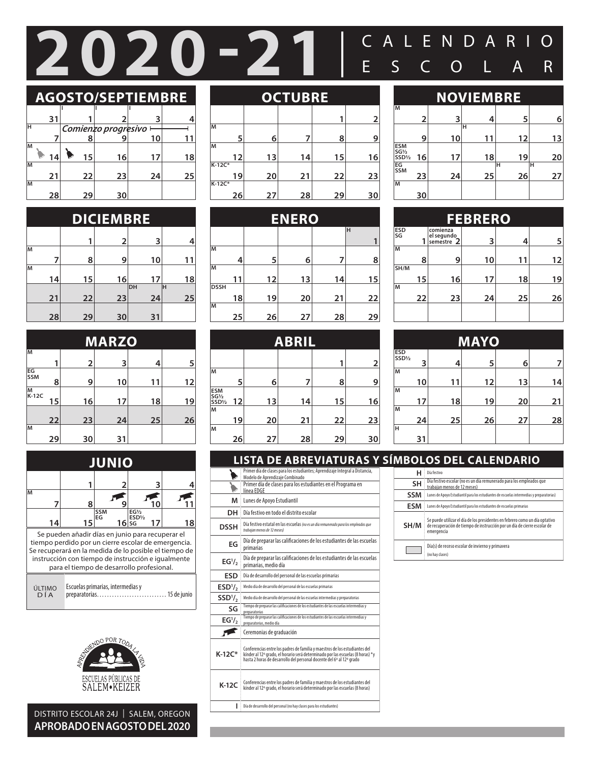## C 20 - 21 ESCOLAR

### **AGOSTO/SEPTIEMBRE**

|    | 31 |    |                     | 3  |    |
|----|----|----|---------------------|----|----|
| н  |    |    | Comienzo progresivo |    |    |
|    |    |    |                     | 10 |    |
| lм |    |    |                     |    |    |
|    | 14 | 15 | 16                  | 17 | 18 |
| M  |    |    |                     |    |    |
|    | 21 | 22 | 23                  | 24 | 25 |
| lм |    |    |                     |    |    |
|    | 28 | 29 | 30                  |    |    |

|    | <b>DICIEMBRE</b> |    |    |           |          |  |
|----|------------------|----|----|-----------|----------|--|
|    |                  | 1  | 2  | 3         |          |  |
| lм | 7                | 8  | 9  | 10        |          |  |
| lм | 14               | 15 | 16 | 17        | 18       |  |
|    | 21               | 22 | 23 | ldн<br>24 | lн<br>25 |  |
|    | 28               | 29 | 30 | 31        |          |  |

| <b>MARZO</b> |    |                         |    |    |    |
|--------------|----|-------------------------|----|----|----|
| M            |    |                         |    |    |    |
|              |    | $\overline{\mathbf{2}}$ | 3  | 4  | 5  |
| EG<br>SSM    | 8  | 9                       | 10 | 11 | 12 |
| M<br>K-12C   | 15 | 16                      | 17 | 18 | 19 |
|              | 22 | 23                      | 24 | 25 | 26 |
| M            | 29 | 30                      | 31 |    |    |

| <b>JUNIO</b>                                                                                                                                                                                                                                                        |    |                            |                                                     |    |  |
|---------------------------------------------------------------------------------------------------------------------------------------------------------------------------------------------------------------------------------------------------------------------|----|----------------------------|-----------------------------------------------------|----|--|
|                                                                                                                                                                                                                                                                     |    |                            |                                                     |    |  |
| M                                                                                                                                                                                                                                                                   | ឧ  |                            |                                                     |    |  |
|                                                                                                                                                                                                                                                                     | 15 | <b>SSM</b><br>EG<br>$16$ s | EGV <sub>2</sub><br>ESD <sup>1</sup> / <sub>2</sub> | 18 |  |
| Se pueden añadir días en junio para recuperar el<br>tiempo perdido por un cierre escolar de emergencia.<br>Se recuperará en la medida de lo posible el tiempo de<br>instrucción con tiempo de instrucción e iqualmente<br>para el tiempo de desarrollo profesional. |    |                            |                                                     |    |  |
| Escuelas primarias, intermedias y<br>ÚLTIMO<br>preparatorias.<br>DÍA<br>15 de junio                                                                                                                                                                                 |    |                            |                                                     |    |  |

| DÍA |  |
|-----|--|
|     |  |



SPRAGUE HIGH SCHOOL HOME OF THE OLYMPIANS OF THE OLYMPIANS OF THE OLYMPIANS OF THE OLYMPIANS OF THE OLYMPIANS O DISTRITO ESCOLAR 24J | SALEM, OREGON **APROBADO EN AGOSTO DEL 2020**

### **OCTUBRE**

|          |    |    |    |    | 2  |
|----------|----|----|----|----|----|
| M        |    |    |    |    |    |
|          | 5  | 6  |    | 8  | 9  |
| M        |    |    |    |    |    |
|          | 12 | 13 | 14 | 15 | 16 |
| $K-12C*$ |    |    |    |    |    |
|          | 19 | 20 | 21 | 22 | 23 |
| $K-12C*$ |    |    |    |    |    |
|          | 26 | 27 | 28 | 29 | 30 |

| <b>ENERO</b> |    |    |    |    |    |
|--------------|----|----|----|----|----|
|              |    |    |    |    | H  |
|              |    |    |    |    |    |
| lм           |    |    |    |    |    |
|              | 4  | 5  | 6  | 7  | 8  |
| ĪМ           |    |    |    |    |    |
|              | 11 | 12 | 13 | 14 | 15 |
| <b>DSSH</b>  |    |    |    |    |    |
|              | 18 | 19 | 20 | 21 | 22 |
| lм           |    |    |    |    |    |
|              | 25 | 26 | 27 | 28 | 29 |

|                                                                    | <b>ABRIL</b> |    |    |    |                |  |
|--------------------------------------------------------------------|--------------|----|----|----|----------------|--|
|                                                                    |              |    |    | 1  | $\overline{2}$ |  |
| M                                                                  | 5            | 6  |    | 8  | 9              |  |
| <b>ESM</b><br>SG <sub>1/2</sub><br>SSD <sup>1</sup> / <sub>2</sub> | 12           | 13 | 14 | 15 | 16             |  |
| lм                                                                 | 19           | 20 | 21 | 22 | 23             |  |
| lм                                                                 | 26           | 27 | 28 | 29 | 30             |  |

|                                 | LISTA DE ABREVIATURAS Y SÍMBOLOS DEL CALENDARIO                                                                                                                                                                                   |            |                                                                                                                                                       |
|---------------------------------|-----------------------------------------------------------------------------------------------------------------------------------------------------------------------------------------------------------------------------------|------------|-------------------------------------------------------------------------------------------------------------------------------------------------------|
|                                 | Primer día de clases para los estudiantes; Aprendizaje Integral a Distancia,<br>Modelo de Aprendizaje Combinado                                                                                                                   | НΙ         | Día festivo                                                                                                                                           |
|                                 | Primer día de clases para los estudiantes en el Programa en<br>línea EDGE                                                                                                                                                         | <b>SH</b>  | Día festivo escolar (no es un día remunerado para los empleados<br>trabaian menos de 12 meses)                                                        |
| M                               | Lunes de Apoyo Estudiantil                                                                                                                                                                                                        | <b>SSM</b> | Lunes de Apoyo Estudiantil para los estudiantes de escuelas intermedias y pre                                                                         |
| DH 3                            | Día festivo en todo el distrito escolar                                                                                                                                                                                           | <b>ESM</b> | Lunes de Apoyo Estudiantil para los estudiantes de escuelas primarias                                                                                 |
| <b>DSSH</b>                     | Día festivo estatal en las escuelas (no es un día remunerado para los empleados que<br>trabajan menos de 12 meses)                                                                                                                | SH/M       | Se puede utilizar el día de los presidentes en febrero como un día<br>de recuperación de tiempo de instrucción por un día de cierre esc<br>emergencia |
| EG                              | Día de preparar las calificaciones de los estudiantes de las escuelas<br>primarias                                                                                                                                                |            | Día(s) de receso escolar de invierno y primavera                                                                                                      |
| EG <sup>1</sup> / <sub>2</sub>  | Día de preparar las calificaciones de los estudiantes de las escuelas<br>primarias, medio día                                                                                                                                     |            | (no hay clases)                                                                                                                                       |
| <b>ESD</b>                      | Día de desarrollo del personal de las escuelas primarias                                                                                                                                                                          |            |                                                                                                                                                       |
| ESD <sup>1</sup> / <sub>2</sub> | Medio día de desarrollo del personal de las escuelas primarias                                                                                                                                                                    |            |                                                                                                                                                       |
| SSD <sub>1</sub>                | Medio día de desarrollo del personal de las escuelas intermedias y preparatorias                                                                                                                                                  |            |                                                                                                                                                       |
| SG                              | Tiempo de preparar las calificaciones de los estudiantes de las escuelas intermedias y<br>preparatorias                                                                                                                           |            |                                                                                                                                                       |
| EG <sup>1</sup> / <sub>2</sub>  | Tiempo de preparar las calificaciones de los estudiantes de las escuelas intermedias y<br>preparatorias, medio día                                                                                                                |            |                                                                                                                                                       |
|                                 | Ceremonias de graduación                                                                                                                                                                                                          |            |                                                                                                                                                       |
| $K-12C*$                        | Conferencias entre los padres de familia y maestros de los estudiantes del<br>kínder al 12º grado, el horario será determinado por las escuelas (8 horas) *y hasta 2 horas de desarrollo del personal docente del 6º al 12º grado |            |                                                                                                                                                       |
| $K-12C$                         | Conferencias entre los padres de familia y maestros de los estudiantes del<br>kínder al 12º grado, el horario será determinado por las escuelas (8 horas)                                                                         |            |                                                                                                                                                       |
|                                 | Día de desarrollo del personal (no hay clases para los estudiantes)                                                                                                                                                               |            |                                                                                                                                                       |
|                                 |                                                                                                                                                                                                                                   |            |                                                                                                                                                       |

#### **30 23 24 25 26 27 16 17 18 19 20 9 10 11 12 13 2 3 4 5 6 M H ESM SG½ SSD½ EG SSM <sup>H</sup> <sup>H</sup> M NOVIEMBRE**

|           | <b>FEBRERO</b> |                                      |    |    |    |  |  |  |  |
|-----------|----------------|--------------------------------------|----|----|----|--|--|--|--|
| ESD<br>SG |                | comienza<br>el segundo<br>semestre 2 | 3  | 4  | 5  |  |  |  |  |
| lм        | 8              | 9                                    | 10 | 11 | 12 |  |  |  |  |
| SH/M      | 15             | 16                                   | 17 | 18 | 19 |  |  |  |  |
| lм        | 22             | 23                                   | 24 | 25 | 26 |  |  |  |  |
|           |                |                                      |    |    |    |  |  |  |  |

|               | <b>MAYO</b> |    |    |    |    |  |  |  |  |
|---------------|-------------|----|----|----|----|--|--|--|--|
| ESD<br>SSD1/2 | 3           | 4  | 5  | 6  |    |  |  |  |  |
| lм            |             |    |    |    |    |  |  |  |  |
|               | 10          | 11 | 12 | 13 | 14 |  |  |  |  |
| M             |             |    |    |    |    |  |  |  |  |
|               | 17          | 18 | 19 | 20 | 21 |  |  |  |  |
| lм            |             |    |    |    |    |  |  |  |  |
|               | 24          | 25 | 26 | 27 | 28 |  |  |  |  |
| lн            |             |    |    |    |    |  |  |  |  |
|               | 31          |    |    |    |    |  |  |  |  |

|            | MBOLOS DEL CALENDARIO                                                                                                                                                 |
|------------|-----------------------------------------------------------------------------------------------------------------------------------------------------------------------|
| н          | Día festivo                                                                                                                                                           |
| <b>SH</b>  | Día festivo escolar (no es un día remunerado para los empleados que<br>trabajan menos de 12 meses)                                                                    |
| <b>SSM</b> | Lunes de Apoyo Estudiantil para los estudiantes de escuelas intermedias y preparatorias)                                                                              |
| <b>ESM</b> | Lunes de Apoyo Estudiantil para los estudiantes de escuelas primarias                                                                                                 |
| SH/M       | Se puede utilizar el día de los presidentes en febrero como un día optativo<br>de recuperación de tiempo de instrucción por un día de cierre escolar de<br>emergencia |
|            | Día(s) de receso escolar de invierno y primavera<br>(no hav clases)                                                                                                   |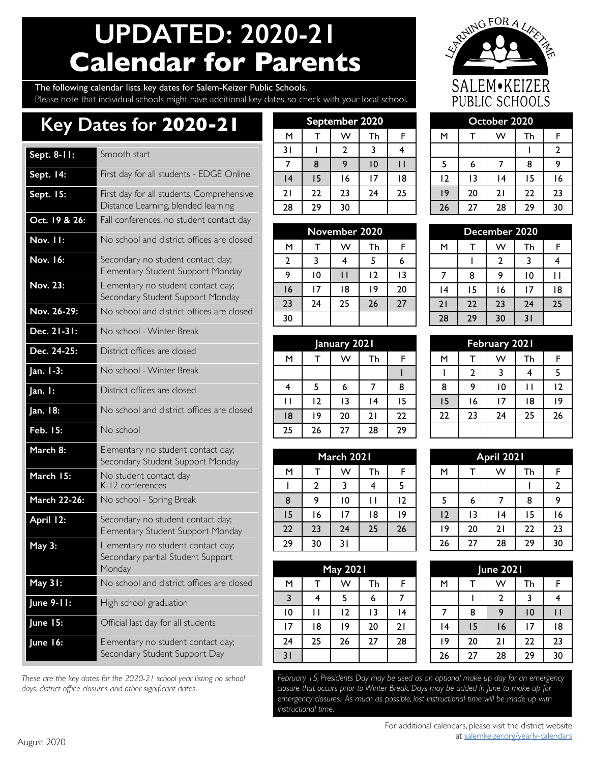## **UPDATED: 2020-21 Calendar for Parents**

NGFORALIS SALEM.KEIZER PUBLIC SCHOOLS

### The following calendar lists key dates for Salem-Keizer Public Schools. Please note that individual schools might have additional key dates, so check with your local school.

### **Key Dates for 2020-21**

| Sept. 8-11:   | Smooth start                                                                      | 31       | L                   |
|---------------|-----------------------------------------------------------------------------------|----------|---------------------|
|               |                                                                                   | 7        | 8                   |
| Sept. 14:     | First day for all students - EDGE Online                                          | 4        | Ľ                   |
| Sept. 15:     | First day for all students, Comprehensive                                         | 21       | 22                  |
|               | Distance Learning, blended learning                                               | 28       | 2 <sup>5</sup>      |
| Oct. 19 & 26: | Fall conferences, no student contact day                                          |          | <b>N</b>            |
| Nov. II:      | No school and district offices are closed                                         | M        | Т                   |
| Nov. 16:      | Secondary no student contact day;                                                 | 2        | 3                   |
|               | Elementary Student Support Monday                                                 | 9        | K                   |
| Nov. 23:      | Elementary no student contact day;<br>Secondary Student Support Monday            | 16       | Б                   |
| Nov. 26-29:   | No school and district offices are closed                                         | 23<br>30 | 2 <sup>2</sup>      |
| Dec. 21-31:   | No school - Winter Break                                                          |          |                     |
| Dec. 24-25:   | District offices are closed                                                       | м        | J<br>T              |
| Jan. 1-3:     | No school - Winter Break                                                          |          |                     |
| Jan. I:       | District offices are closed                                                       | 4        | 5                   |
| Jan. 18:      | No school and district offices are closed                                         | П<br> 8  | 12<br>B             |
| Feb. 15:      | No school                                                                         | 25       | 2 <sub>6</sub>      |
| March 8:      | Elementary no student contact day;<br>Secondary Student Support Monday            |          |                     |
| March 15:     | No student contact day<br>K-12 conferences                                        | M<br>I   | Τ<br>$\overline{2}$ |
| March 22-26:  | No school - Spring Break                                                          | 8        | 9                   |
| April 12:     | Secondary no student contact day;                                                 | 15       | ١ć                  |
|               | Elementary Student Support Monday                                                 | 22       | 2:                  |
| <b>May 3:</b> | Elementary no student contact day;<br>Secondary partial Student Support<br>Monday | 29       | 30                  |
| May 31:       | No school and district offices are closed                                         | М        | Τ                   |
|               |                                                                                   | 3        | 4                   |
| June 9-11:    | High school graduation                                                            | 10       | П                   |
| June 15:      | Official last day for all students                                                | 17       | 18                  |
| June 16:      | Elementary no student contact day;                                                | 24       | 2!                  |
|               | Secondary Student Support Day                                                     | 31       |                     |

*These are the key dates for the 2020-21 school year listing no school days, district office closures and other significant dates.* 

| September 2020 |    |    |    |    |  |    |                 | October 2020 |    |
|----------------|----|----|----|----|--|----|-----------------|--------------|----|
| M              |    | W  | Th | F  |  | м  |                 | w            | Tŀ |
| 31             |    | 2  | 3  |    |  |    |                 |              |    |
|                | 8  | 9  | 10 |    |  |    | 6               |              | 8  |
| 4              | 15 | 16 | 17 | 18 |  | 12 | $\overline{13}$ | 14           | 15 |
| 21             | 22 | 23 | 24 | 25 |  | 19 | 20              | 21           | 22 |
| 28             | 29 | 30 |    |    |  | 26 | 27              | 28           | 29 |
|                |    |    |    |    |  |    |                 |              |    |

|                | November 2020   |    |    |    |  | December 2020 |    |    |    |    |
|----------------|-----------------|----|----|----|--|---------------|----|----|----|----|
| М              |                 | w  | Τh |    |  | м             |    | w  | Th | F  |
| $\overline{2}$ |                 |    |    | 6  |  |               |    |    |    | 4  |
| 9              | 10              |    | 12 | 13 |  |               | 8  | q  | 10 |    |
| 16             | $\overline{17}$ | 18 | 19 | 20 |  | 14            | 15 | 16 |    | ۱۶ |
| 23             | 24              | 25 | 26 | 27 |  | 21            | 22 | 23 | 24 | 25 |
| 30             |                 |    |    |    |  | 28            | 29 | 30 | 31 |    |

|    | January 2021 |    |    |    |  | <b>February 2021</b> |    |                 |    |                |
|----|--------------|----|----|----|--|----------------------|----|-----------------|----|----------------|
| М  |              | w  | Th | F  |  | м                    |    | w               | Th | F              |
|    |              |    |    |    |  |                      | 2  |                 |    | 5              |
|    |              | 6  |    | 8  |  | 8                    | 9  | 10              |    |                |
|    | 12           | 13 | 14 | 15 |  | 15                   | 16 | $\overline{17}$ | 18 | ı٥             |
| 18 | ۱9           | 20 | 21 | 22 |  | 22                   | 23 | 24              | 25 | 2 <sub>0</sub> |
| 25 | 26           | 27 | 28 | 29 |  |                      |    |                 |    |                |

| March 2021<br>М |     |    |    |  | April 2021 |    |    |    |                |
|-----------------|-----|----|----|--|------------|----|----|----|----------------|
|                 | w   | Th | F  |  | M          |    | w  | Th | F              |
| 2               |     |    |    |  |            |    |    |    | $\overline{2}$ |
| 9               | 10  |    | 12 |  |            | 6  |    | 8  | 9              |
| 16              | 17  | 18 | 9  |  | 12         | 13 | 14 | 15 | I٥             |
| 23              | 24  | 25 | 26 |  | 19         | 20 | 21 | 22 | 23             |
| 30              | 3 I |    |    |  | 26         | 27 | 28 | 29 | 30             |
|                 |     |    |    |  |            |    |    |    |                |

|                | <b>May 2021</b> |    |    |    |  |  |  |  |  |
|----------------|-----------------|----|----|----|--|--|--|--|--|
| M              | т               | W  | Th | F  |  |  |  |  |  |
| $\overline{3}$ | 4               | 5  | 6  | 7  |  |  |  |  |  |
| 10             | Н               | 12 | 13 | 14 |  |  |  |  |  |
| 17             | 18              | 19 | 20 | 21 |  |  |  |  |  |
| 24             | 25              | 26 | 27 | 28 |  |  |  |  |  |
| 31             |                 |    |    |    |  |  |  |  |  |

|                | <b>September 2020</b> |    |    |     |  | October 2020 |    |    |    |    |
|----------------|-----------------------|----|----|-----|--|--------------|----|----|----|----|
| м              |                       | w  | Th |     |  | м            |    | w  | Th |    |
| ١l             |                       |    |    |     |  |              |    |    |    |    |
| 7              | 8                     | 9  | 10 | l I |  |              | 6  |    | 8  |    |
| $\overline{4}$ | 15                    | 16 |    | 18  |  | 12           | 13 | 14 | 15 | 16 |
| 21             | 22                    | 23 | 24 | 25  |  | ۱9           | 20 | 21 | 22 | 23 |
| 28             | 29                    | 30 |    |     |  | 26           | 27 | 28 | 29 | 30 |

| December 2020 |    |                |                 |    |  |  |  |  |
|---------------|----|----------------|-----------------|----|--|--|--|--|
| м             | T  | W              | Th              | F  |  |  |  |  |
|               |    | $\overline{2}$ | 3               | 4  |  |  |  |  |
|               | 8  | 9              | $\overline{10}$ |    |  |  |  |  |
| 4             | 15 | 16             | 17              | 18 |  |  |  |  |
| 21            | 22 | 23             | 24              | 25 |  |  |  |  |
| 28            | 29 | 30             | 31              |    |  |  |  |  |

| <b>February 2021</b> |                |                |                |    |  |  |  |  |
|----------------------|----------------|----------------|----------------|----|--|--|--|--|
| M                    |                | W<br>Th        |                |    |  |  |  |  |
|                      | $\overline{2}$ | 3              | $\overline{4}$ | 5  |  |  |  |  |
| 8                    | 9              | $\overline{0}$ | l I            | 12 |  |  |  |  |
| 15                   | 16             | 17             | 18             | 9  |  |  |  |  |
| 22                   | 23             | 24             | 25             | 26 |  |  |  |  |
|                      |                |                |                |    |  |  |  |  |

| April 2021 |    |          |    |                |  |  |  |  |  |  |
|------------|----|----------|----|----------------|--|--|--|--|--|--|
| M          |    | W        | Th | F              |  |  |  |  |  |  |
|            |    |          |    | $\overline{2}$ |  |  |  |  |  |  |
| 5          | 6  | 7        | 8  | 9              |  |  |  |  |  |  |
| 12         | 13 | 14       | 15 | 16             |  |  |  |  |  |  |
| 19         | 20 | 21       | 22 | 23             |  |  |  |  |  |  |
| 26         | 27 | 28<br>29 |    | 30             |  |  |  |  |  |  |

|    |    | <b>May 2021</b> |    |    | <b>June 2021</b> |    |    |                 |    |
|----|----|-----------------|----|----|------------------|----|----|-----------------|----|
| M  |    | w               | Th | F  | м                |    | w  | Th              | F  |
| 3  | 4  |                 | 6  |    |                  |    | 2  | 3               |    |
| 0  |    | 12              | 13 | ۱4 |                  | 8  | 9  | 10              |    |
| 7  | 18 | ۱9              | 20 | 21 | 14               | 15 | 16 | $\overline{17}$ | 18 |
| 24 | 25 | 26              | 27 | 28 | 19               | 20 | 21 | 22              | 23 |
| 31 |    |                 |    |    | 26               | 27 | 28 | 29              | 30 |

*February 15, Presidents Day may be used as an optional make-up day for an emergency closure that occurs prior to Winter Break. Days may be added in June to make up for emergency closures. As much as possible, lost instructional time will be made up with instructional time.*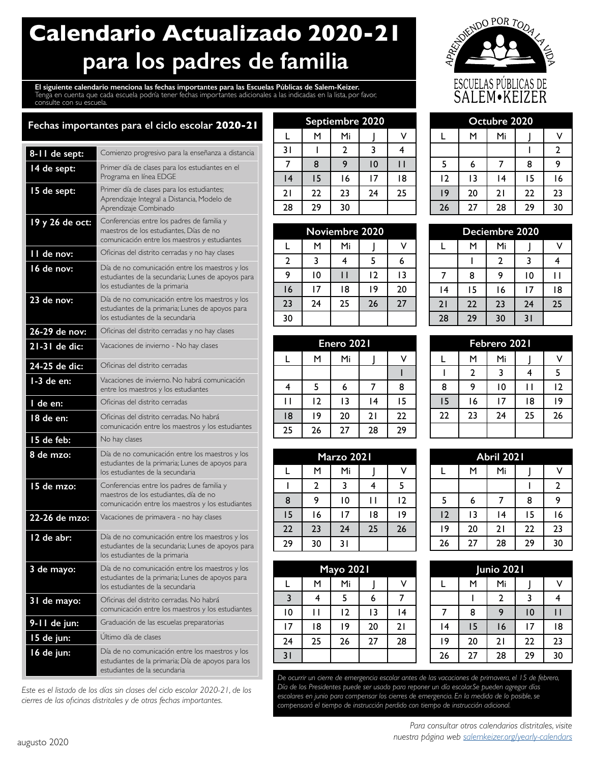### **Calendario Actualizado 2020-21 para los padres de familia**

**El siguiente calendario menciona las fechas importantes para las Escuelas Públicas de Salem-Keizer.** Tenga en cuenta que cada escuela podría tener fechas importantes adicionales a las indicadas en la lista, por favor, consulte con su escuela.



### **Fechas importantes para el ciclo escolar 2020-21**

| 8-11 de sept:   | Comienzo progresivo para la enseñanza a distancia                                                                                         |
|-----------------|-------------------------------------------------------------------------------------------------------------------------------------------|
| 14 de sept:     | Primer día de clases para los estudiantes en el<br>Programa en línea EDGE                                                                 |
| 15 de sept:     | Primer día de clases para los estudiantes;<br>Aprendizaje Integral a Distancia, Modelo de<br>Aprendizaje Combinado                        |
| 19 y 26 de oct: | Conferencias entre los padres de familia y<br>maestros de los estudiantes, Días de no<br>comunicación entre los maestros y estudiantes    |
| II de nov:      | Oficinas del distrito cerradas y no hay clases                                                                                            |
| 16 de nov:      | Día de no comunicación entre los maestros y los<br>estudiantes de la secundaria; Lunes de apoyos para<br>los estudiantes de la primaria   |
| 23 de nov:      | Día de no comunicación entre los maestros y los<br>estudiantes de la primaria; Lunes de apoyos para<br>los estudiantes de la secundaria   |
| 26-29 de nov:   | Oficinas del distrito cerradas y no hay clases                                                                                            |
| 21-31 de dic:   | Vacaciones de invierno - No hay clases                                                                                                    |
| 24-25 de dic:   | Oficinas del distrito cerradas                                                                                                            |
| 1-3 de en:      | Vacaciones de invierno. No habrá comunicación<br>entre los maestros y los estudiantes                                                     |
| l de en:        | Oficinas del distrito cerradas                                                                                                            |
| 18 de en:       | Oficinas del distrito cerradas. No habrá<br>comunicación entre los maestros y los estudiantes                                             |
| 15 de feb:      | No hay clases                                                                                                                             |
| 8 de mzo:       | Día de no comunicación entre los maestros y los<br>estudiantes de la primaria; Lunes de apoyos para<br>los estudiantes de la secundaria   |
| 15 de mzo:      | Conferencias entre los padres de familia y<br>maestros de los estudiantes, día de no<br>comunicación entre los maestros y los estudiantes |
| 22-26 de mzo:   | Vacaciones de primavera - no hay clases                                                                                                   |
| 12 de abr:      | Día de no comunicación entre los maestros y los<br>estudiantes de la secundaria; Lunes de apoyos para<br>los estudiantes de la primaria   |
| 3 de mayo:      | Día de no comunicación entre los maestros y los<br>estudiantes de la primaria; Lunes de apoyos para<br>los estudiantes de la secundaria   |
| 31 de mayo:     | Oficinas del distrito cerradas. No habrá<br>comunicación entre los maestros y los estudiantes                                             |
| 9-11 de jun:    | Graduación de las escuelas preparatorias                                                                                                  |
| 15 de jun:      | Último día de clases                                                                                                                      |
| 16 de jun:      | Día de no comunicación entre los maestros y los<br>estudiantes de la primaria; Día de apoyos para los<br>estudiantes de la secundaria     |

*Este es el listado de los días sin clases del ciclo escolar 2020-21, de los cierres de las oficinas distritales y de otras fechas importantes.* 

|    |    | Septiembre 2020 |    |    |                |    | Octubre 2020 |    |
|----|----|-----------------|----|----|----------------|----|--------------|----|
|    | м  | Mi              |    |    |                | М  | Mi           |    |
| 31 |    | 2               |    |    |                |    |              |    |
|    | 8  | 9               | 10 |    |                | 6  |              | 8  |
| 4  | 15 | 16              | 17 | 18 | $\overline{2}$ | 13 | 14           | 15 |
| 21 | 22 | 23              | 24 | 25 | 19             | 20 | 21           | 22 |
| 28 | 29 | 30              |    |    | 26             | 27 | 28           | 29 |
|    |    |                 |    |    |                |    |              |    |

|    |    | <b>Noviembre 2020</b> |    |    |    |    | Deciembre 2020 |     |     |
|----|----|-----------------------|----|----|----|----|----------------|-----|-----|
|    | м  | Mi                    |    |    |    | м  | Mi             |     | v   |
| -2 |    |                       |    | 6  |    |    | 2              | 3   |     |
| 9  | 10 |                       | 12 | 13 |    | 8  | 9              | 10  | l I |
| 16 | 17 | 18                    | ۱9 | 20 | 14 | 15 | 16             | 17  | 18  |
| 23 | 24 | 25                    | 26 | 27 | 21 | 22 | 23             | 24  | 25  |
| 30 |    |                       |    |    | 28 | 29 | 30             | 3 I |     |

|    |    | Enero 2021 |    |    |    |    | Febrero 2021 |    |    |
|----|----|------------|----|----|----|----|--------------|----|----|
|    | м  | Mi         |    | v  |    | м  | Mi           |    | ٧  |
|    |    |            |    |    |    |    |              |    | 5. |
|    |    | 6          |    | 8  | 8  | 9  | 10           | Н  | 12 |
|    | 12 | 13         | 14 | 15 | 15 | 16 | 17           | 18 | ۱9 |
| 8  | ۱9 | 20         | 21 | 22 | 22 | 23 | 24           | 25 | 26 |
| 25 | 26 | 27         | 28 | 29 |    |    |              |    |    |

|         |              | Marzo 2021 |    |    |    |    | <b>Abril 2021</b> |  |
|---------|--------------|------------|----|----|----|----|-------------------|--|
| Mi<br>M |              |            |    |    |    | м  | Mi                |  |
|         | $\mathbf{2}$ |            |    |    |    |    |                   |  |
| 8       | ٩            | 10         |    | 12 | 5  | ь  |                   |  |
| 15      | 16           | 17         | 18 | 9  | 12 | 13 | 14                |  |
| 22      | 23           | 24         | 25 | 26 | 19 | 20 | 21                |  |
| 29      | 30           | 31         |    |    | 26 | 27 | 28                |  |

| <b>Mayo 2021</b> |    |    |    |    |  |  |  |  |  |  |
|------------------|----|----|----|----|--|--|--|--|--|--|
|                  | M  | Mi |    |    |  |  |  |  |  |  |
| 3                | 4  | 5  | 6  |    |  |  |  |  |  |  |
| 10               | J  | 12 | 13 | 14 |  |  |  |  |  |  |
| 17               | 18 | 19 | 20 | 21 |  |  |  |  |  |  |
| 24               | 25 | 26 | 27 | 28 |  |  |  |  |  |  |
| 31               |    |    |    |    |  |  |  |  |  |  |

| Octubre 2020 |    |    |    |                |  |  |  |  |  |  |
|--------------|----|----|----|----------------|--|--|--|--|--|--|
|              | м  | Mi |    |                |  |  |  |  |  |  |
|              |    |    |    | $\overline{2}$ |  |  |  |  |  |  |
| 5            | 6  | 7  | 8  | 9              |  |  |  |  |  |  |
| 12           | 13 | 4  | 15 | 16             |  |  |  |  |  |  |
| 9            | 20 | 21 | 22 | 23             |  |  |  |  |  |  |
| 26           | 27 | 28 | 29 | 30             |  |  |  |  |  |  |

| Deciembre 2020 |    |                |                 |    |  |  |  |  |  |  |
|----------------|----|----------------|-----------------|----|--|--|--|--|--|--|
|                | M  | Mi             |                 |    |  |  |  |  |  |  |
|                |    | $\overline{2}$ | 3               | 4  |  |  |  |  |  |  |
|                | 8  | 9              | $\overline{10}$ |    |  |  |  |  |  |  |
| 4              | 15 | 16             | 17              | 18 |  |  |  |  |  |  |
| 21             | 22 | 23             | 24              | 25 |  |  |  |  |  |  |
| 28             | 29 | 30             | 31              |    |  |  |  |  |  |  |

| Febrero 2021 |                |                |     |    |  |  |  |  |  |  |
|--------------|----------------|----------------|-----|----|--|--|--|--|--|--|
|              | M              | Mi             |     |    |  |  |  |  |  |  |
|              | $\overline{2}$ | $\overline{3}$ | 4   | 5  |  |  |  |  |  |  |
| 8            | 9              | $\overline{0}$ | l I | 12 |  |  |  |  |  |  |
| 15           | 16             | 17             | 18  | 9  |  |  |  |  |  |  |
| 22           | 23             | 24             | 25  | 26 |  |  |  |  |  |  |
|              |                |                |     |    |  |  |  |  |  |  |

|    |    | Marzo 2021 |    |    | Abril 2021 |    |    |    |    |
|----|----|------------|----|----|------------|----|----|----|----|
| L  | м  | Mi         |    | v  |            | м  | Mi |    |    |
|    | 2  |            |    |    |            |    |    |    |    |
| 8  | 9  | 10         |    | 12 |            | 6  |    | 8  | q  |
| 15 | ۱6 | . 7        | 18 | 19 | 12         | 13 | 14 | 15 | 16 |
| 22 | 23 | 24         | 25 | 26 | 19         | 20 | 21 | 22 | 23 |
| 29 | 30 | 31         |    |    | 26         | 27 | 28 | 29 | 30 |

| <b>Mayo 2021</b> |    |    |    |    | <b>Junio 2021</b> |    |    |    |    |
|------------------|----|----|----|----|-------------------|----|----|----|----|
| L                | м  | Mi |    | ν  |                   | м  | Mi |    |    |
| $\overline{3}$   | 4  |    | 6  |    |                   |    | 2  |    |    |
| 10               | ١I | 12 | 13 | ۱4 |                   | 8  | 9  | 10 |    |
| 7                | 18 | 9  | 20 | 21 | 14                | 15 | 16 | 17 | 18 |
| 24               | 25 | 26 | 27 | 28 | ۱9                | 20 | 21 | 22 | 23 |
| 31               |    |    |    |    | 26                | 27 | 28 | 29 | 30 |

*De ocurrir un cierre de emergencia escolar antes de las vacaciones de primavera, el 15 de febrero, Día de los Presidentes puede ser usado para reponer un día escolar.Se pueden agregar días escolares en junio para compensar los cierres de emergencia. En la medida de lo posible, se compensará el tiempo de instrucción perdido con tiempo de instrucción adicional.*